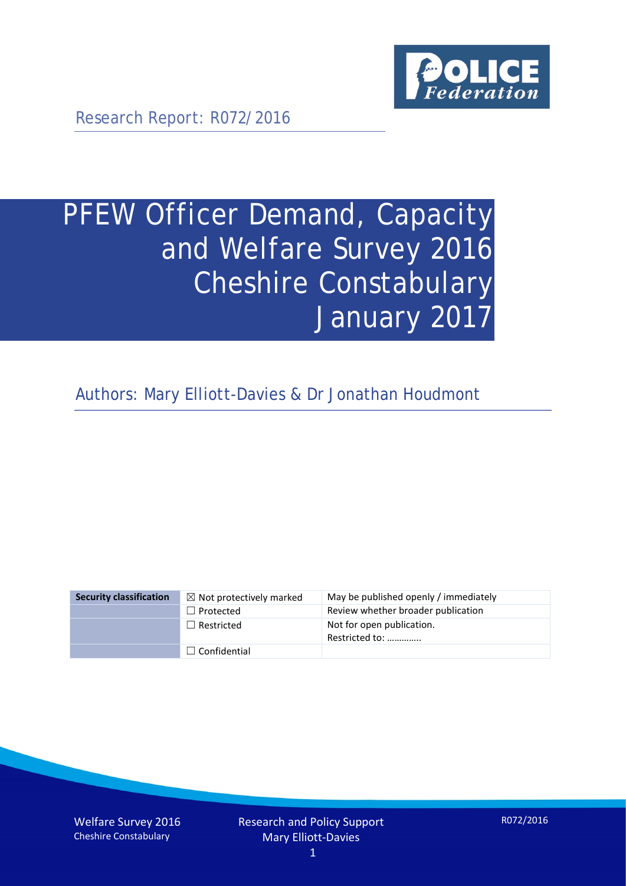

Research Report: R072/2016

# PFEW Officer Demand, Capacity and Welfare Survey 2016 Cheshire Constabulary January 2017

Authors: Mary Elliott-Davies & Dr Jonathan Houdmont

| <b>Security classification</b> | $\boxtimes$ Not protectively marked | May be published openly / immediately       |
|--------------------------------|-------------------------------------|---------------------------------------------|
|                                | $\Box$ Protected                    | Review whether broader publication          |
|                                | $\Box$ Restricted                   | Not for open publication.<br>Restricted to: |
|                                | $\Box$ Confidential                 |                                             |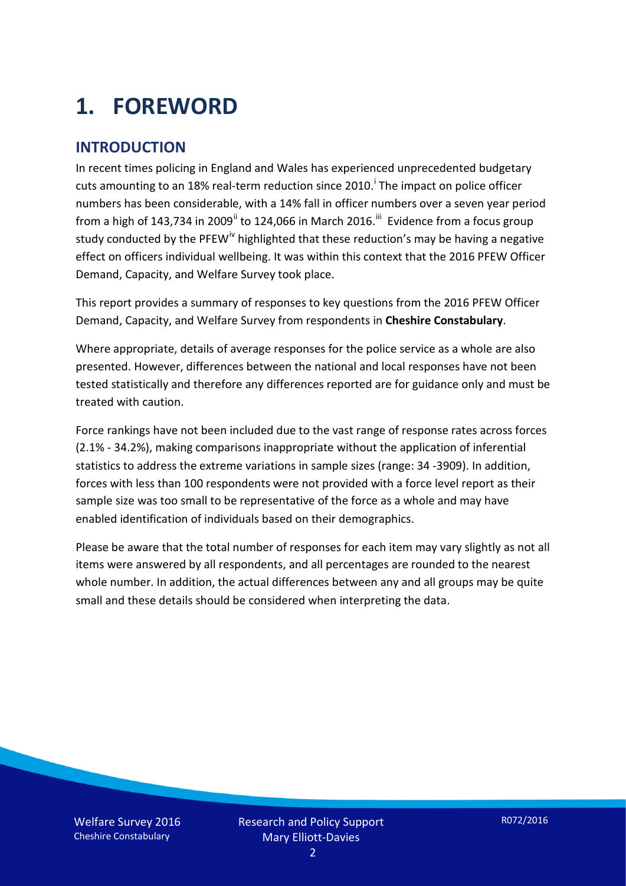# **1. FOREWORD**

#### **INTRODUCTION**

In recent times policing in England and Wales has experienced unprecedented budgetary cuts amount[i](#page-15-0)ng to an 18% real-term reduction since 2010.<sup>1</sup> The impact on police officer numbers has been considerable, with a 14% fall in officer numbers over a seven year period from a high of 143,734 in 2009<sup>[ii](#page-15-1)</sup> to 124,066 in March 2016.<sup>[iii](#page-15-2)</sup> Evidence from a focus group study conducted by the PFEW<sup>[iv](#page-15-3)</sup> highlighted that these reduction's may be having a negative effect on officers individual wellbeing. It was within this context that the 2016 PFEW Officer Demand, Capacity, and Welfare Survey took place.

This report provides a summary of responses to key questions from the 2016 PFEW Officer Demand, Capacity, and Welfare Survey from respondents in **Cheshire Constabulary**.

Where appropriate, details of average responses for the police service as a whole are also presented. However, differences between the national and local responses have not been tested statistically and therefore any differences reported are for guidance only and must be treated with caution.

Force rankings have not been included due to the vast range of response rates across forces (2.1% - 34.2%), making comparisons inappropriate without the application of inferential statistics to address the extreme variations in sample sizes (range: 34 -3909). In addition, forces with less than 100 respondents were not provided with a force level report as their sample size was too small to be representative of the force as a whole and may have enabled identification of individuals based on their demographics.

Please be aware that the total number of responses for each item may vary slightly as not all items were answered by all respondents, and all percentages are rounded to the nearest whole number. In addition, the actual differences between any and all groups may be quite small and these details should be considered when interpreting the data.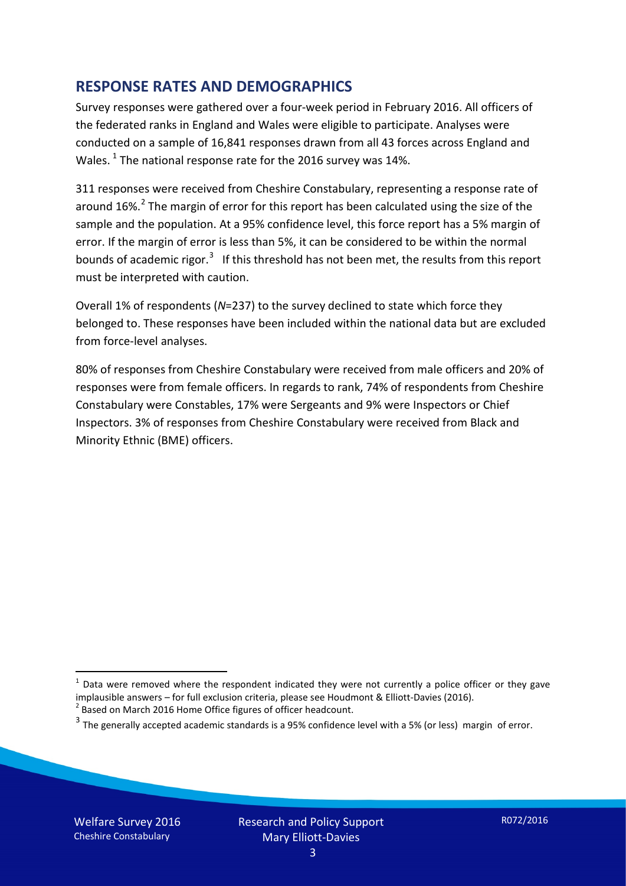#### **RESPONSE RATES AND DEMOGRAPHICS**

Survey responses were gathered over a four-week period in February 2016. All officers of the federated ranks in England and Wales were eligible to participate. Analyses were conducted on a sample of 16,841 responses drawn from all 43 forces across England and Wales.  $^1$  $^1$  The national response rate for the 2016 survey was 14%.

311 responses were received from Cheshire Constabulary, representing a response rate of around 16%.<sup>[2](#page-2-1)</sup> The margin of error for this report has been calculated using the size of the sample and the population. At a 95% confidence level, this force report has a 5% margin of error. If the margin of error is less than 5%, it can be considered to be within the normal bounds of academic rigor.<sup>[3](#page-2-2)</sup> If this threshold has not been met, the results from this report must be interpreted with caution.

Overall 1% of respondents (*N*=237) to the survey declined to state which force they belonged to. These responses have been included within the national data but are excluded from force-level analyses.

80% of responses from Cheshire Constabulary were received from male officers and 20% of responses were from female officers. In regards to rank, 74% of respondents from Cheshire Constabulary were Constables, 17% were Sergeants and 9% were Inspectors or Chief Inspectors. 3% of responses from Cheshire Constabulary were received from Black and Minority Ethnic (BME) officers.

-

<span id="page-2-0"></span> $1$  Data were removed where the respondent indicated they were not currently a police officer or they gave implausible answers – for full exclusion criteria, please see Houdmont & Elliott-Davies (2016).<br><sup>2</sup> Based on March 2016 Home Office figures of officer headcount.

<span id="page-2-1"></span>

<span id="page-2-2"></span> $3$  The generally accepted academic standards is a 95% confidence level with a 5% (or less) margin of error.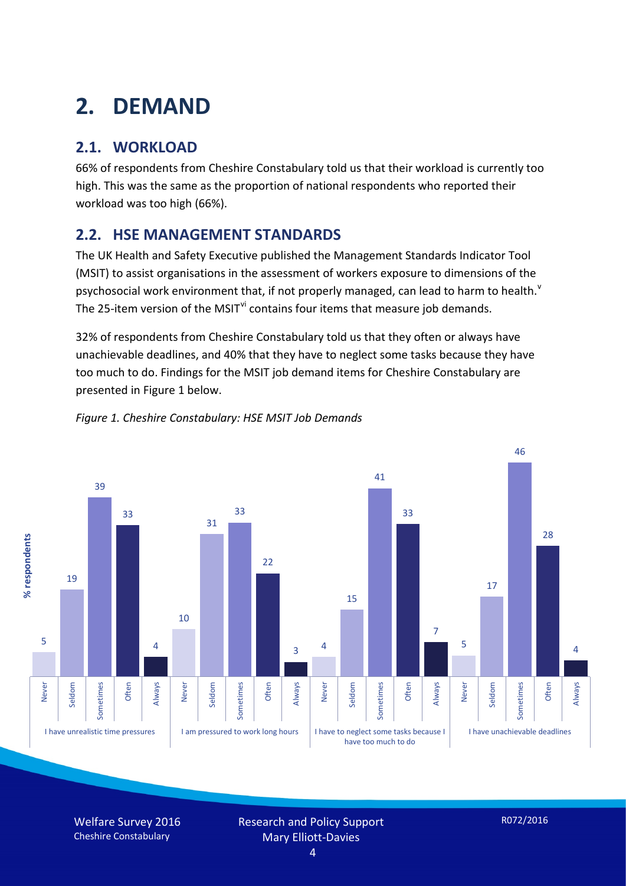# **2. DEMAND**

## **2.1. WORKLOAD**

66% of respondents from Cheshire Constabulary told us that their workload is currently too high. This was the same as the proportion of national respondents who reported their workload was too high (66%).

### **2.2. HSE MANAGEMENT STANDARDS**

The UK Health and Safety Executive published the Management Standards Indicator Tool (MSIT) to assist organisations in the assessment of workers exposure to dimensions of the psychosocial work en[v](#page-15-4)ironment that, if not properly managed, can lead to harm to health.<sup>v</sup> The 25-item version of the MSIT<sup>[vi](#page-15-5)</sup> contains four items that measure job demands.

32% of respondents from Cheshire Constabulary told us that they often or always have unachievable deadlines, and 40% that they have to neglect some tasks because they have too much to do. Findings for the MSIT job demand items for Cheshire Constabulary are presented in Figure 1 below.



#### *Figure 1. Cheshire Constabulary: HSE MSIT Job Demands*

Welfare Survey 2016 Cheshire Constabulary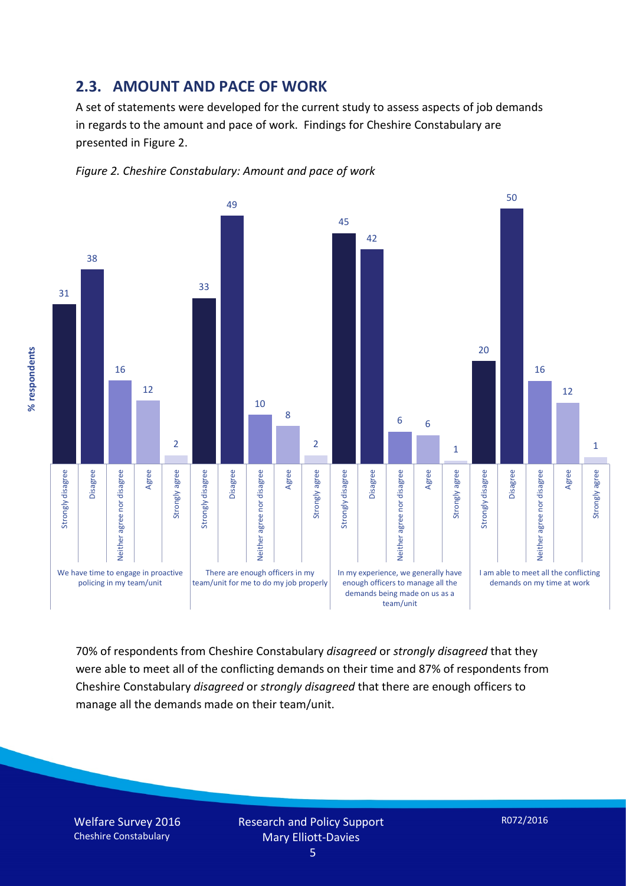#### **2.3. AMOUNT AND PACE OF WORK**

A set of statements were developed for the current study to assess aspects of job demands in regards to the amount and pace of work. Findings for Cheshire Constabulary are presented in Figure 2.





70% of respondents from Cheshire Constabulary *disagreed* or *strongly disagreed* that they were able to meet all of the conflicting demands on their time and 87% of respondents from Cheshire Constabulary *disagreed* or *strongly disagreed* that there are enough officers to manage all the demands made on their team/unit.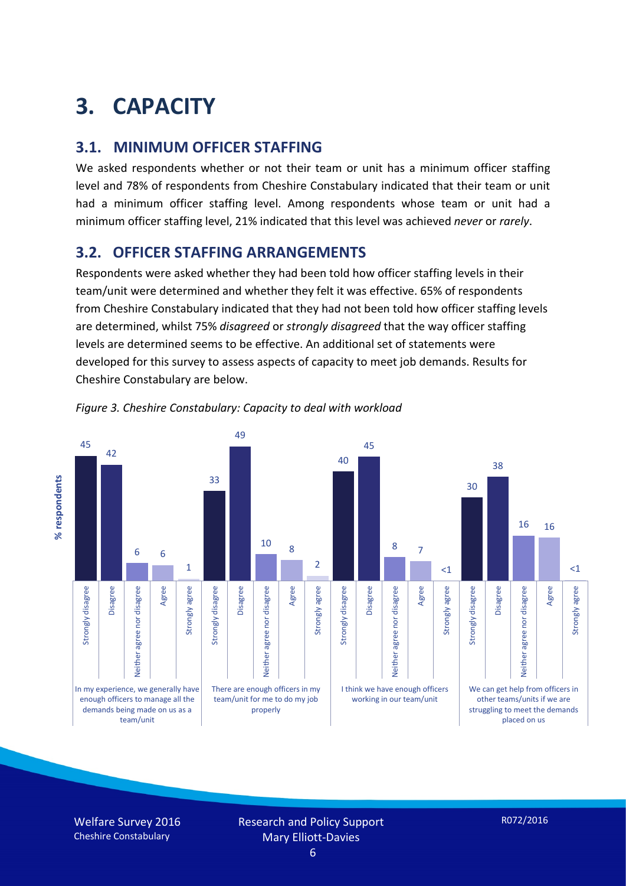# **3. CAPACITY**

#### **3.1. MINIMUM OFFICER STAFFING**

We asked respondents whether or not their team or unit has a minimum officer staffing level and 78% of respondents from Cheshire Constabulary indicated that their team or unit had a minimum officer staffing level. Among respondents whose team or unit had a minimum officer staffing level, 21% indicated that this level was achieved *never* or *rarely*.

#### **3.2. OFFICER STAFFING ARRANGEMENTS**

Respondents were asked whether they had been told how officer staffing levels in their team/unit were determined and whether they felt it was effective. 65% of respondents from Cheshire Constabulary indicated that they had not been told how officer staffing levels are determined, whilst 75% *disagreed* or *strongly disagreed* that the way officer staffing levels are determined seems to be effective. An additional set of statements were developed for this survey to assess aspects of capacity to meet job demands. Results for Cheshire Constabulary are below.



*Figure 3. Cheshire Constabulary: Capacity to deal with workload*

Welfare Survey 2016 Cheshire Constabulary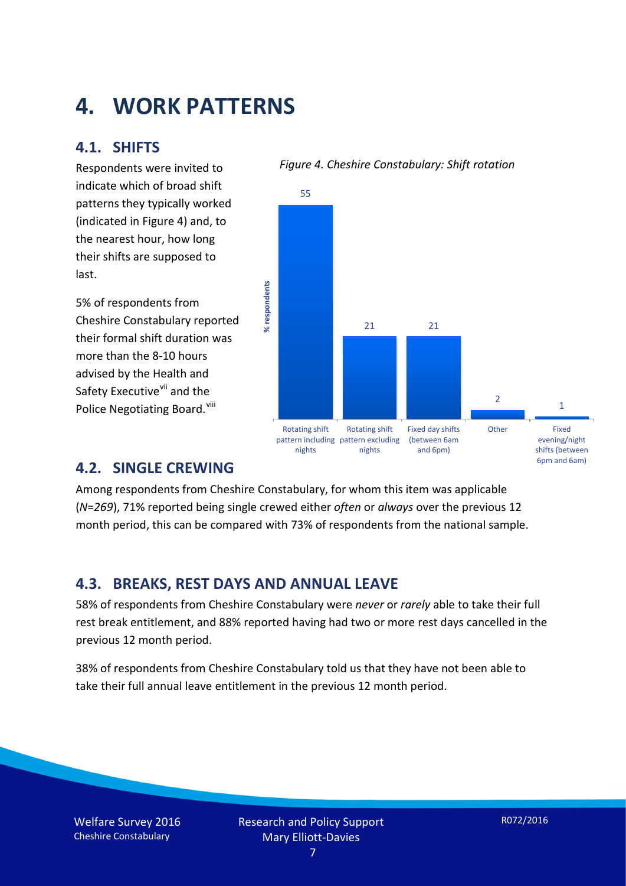## **4. WORK PATTERNS**

#### **4.1. SHIFTS**

Respondents were invited to indicate which of broad shift patterns they typically worked (indicated in Figure 4) and, to the nearest hour, how long their shifts are supposed to last.

5% of respondents from Cheshire Constabulary reported their formal shift duration was more than the 8-10 hours advised by the Health and Safety Executive<sup>[vii](#page-15-6)</sup> and the Police Negotiating Board. Vill

#### *Figure 4. Cheshire Constabulary: Shift rotation*



#### **4.2. SINGLE CREWING**

Among respondents from Cheshire Constabulary, for whom this item was applicable (*N*=*269*), 71% reported being single crewed either *often* or *always* over the previous 12 month period, this can be compared with 73% of respondents from the national sample.

#### **4.3. BREAKS, REST DAYS AND ANNUAL LEAVE**

58% of respondents from Cheshire Constabulary were *never* or *rarely* able to take their full rest break entitlement, and 88% reported having had two or more rest days cancelled in the previous 12 month period.

38% of respondents from Cheshire Constabulary told us that they have not been able to take their full annual leave entitlement in the previous 12 month period.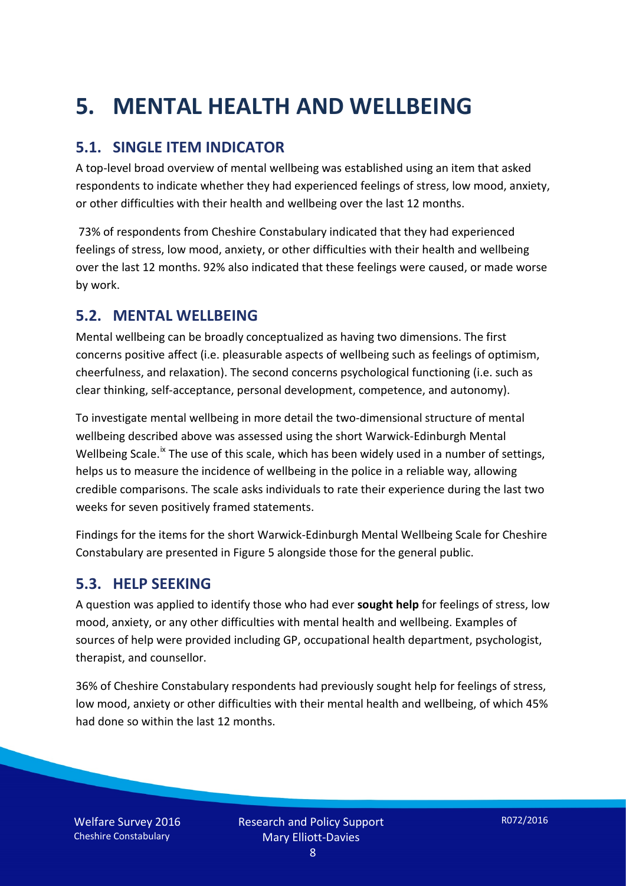# **5. MENTAL HEALTH AND WELLBEING**

### **5.1. SINGLE ITEM INDICATOR**

A top-level broad overview of mental wellbeing was established using an item that asked respondents to indicate whether they had experienced feelings of stress, low mood, anxiety, or other difficulties with their health and wellbeing over the last 12 months.

73% of respondents from Cheshire Constabulary indicated that they had experienced feelings of stress, low mood, anxiety, or other difficulties with their health and wellbeing over the last 12 months. 92% also indicated that these feelings were caused, or made worse by work.

#### **5.2. MENTAL WELLBEING**

Mental wellbeing can be broadly conceptualized as having two dimensions. The first concerns positive affect (i.e. pleasurable aspects of wellbeing such as feelings of optimism, cheerfulness, and relaxation). The second concerns psychological functioning (i.e. such as clear thinking, self-acceptance, personal development, competence, and autonomy).

To investigate mental wellbeing in more detail the two-dimensional structure of mental wellbeing described above was assessed using the short Warwick-Edinburgh Mental Wellbeing Scale.<sup>[ix](#page-15-8)</sup> The use of this scale, which has been widely used in a number of settings, helps us to measure the incidence of wellbeing in the police in a reliable way, allowing credible comparisons. The scale asks individuals to rate their experience during the last two weeks for seven positively framed statements.

Findings for the items for the short Warwick-Edinburgh Mental Wellbeing Scale for Cheshire Constabulary are presented in Figure 5 alongside those for the general public.

#### **5.3. HELP SEEKING**

A question was applied to identify those who had ever **sought help** for feelings of stress, low mood, anxiety, or any other difficulties with mental health and wellbeing. Examples of sources of help were provided including GP, occupational health department, psychologist, therapist, and counsellor.

36% of Cheshire Constabulary respondents had previously sought help for feelings of stress, low mood, anxiety or other difficulties with their mental health and wellbeing, of which 45% had done so within the last 12 months.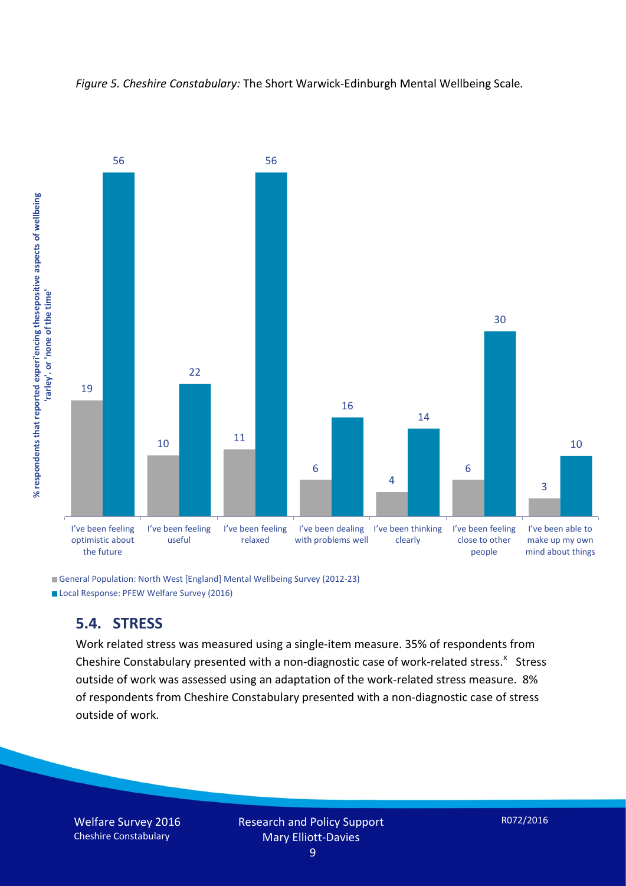



General Population: North West [England] Mental Wellbeing Survey (2012-23) Local Response: PFEW Welfare Survey (2016)

#### **5.4. STRESS**

Work related stress was measured using a single-item measure. 35% of respondents from Cheshire Constabulary presented with a non-diagnostic case of work-related stress.<sup>[x](#page-15-9)</sup> Stress outside of work was assessed using an adaptation of the work-related stress measure. 8% of respondents from Cheshire Constabulary presented with a non-diagnostic case of stress outside of work.

Welfare Survey 2016 Cheshire Constabulary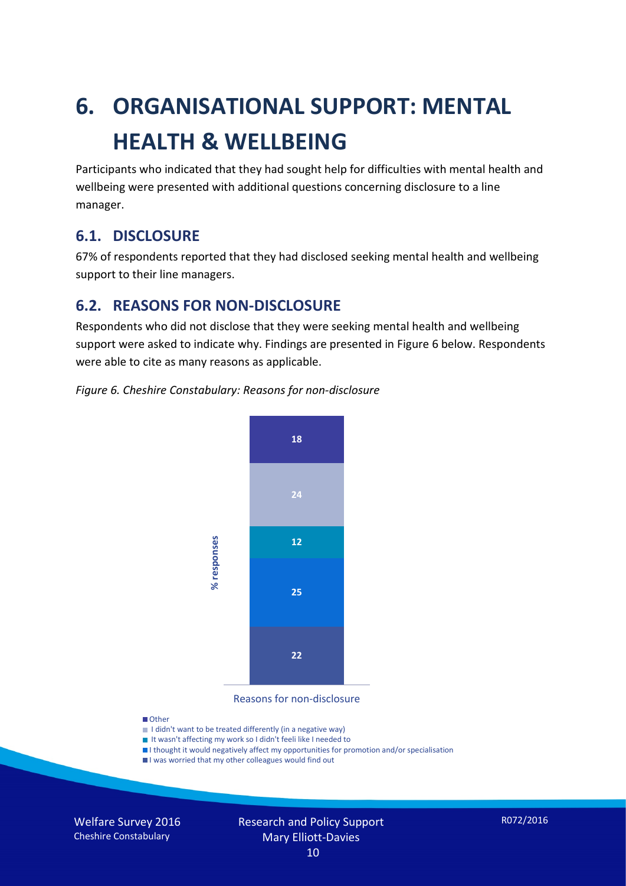# **6. ORGANISATIONAL SUPPORT: MENTAL HEALTH & WELLBEING**

Participants who indicated that they had sought help for difficulties with mental health and wellbeing were presented with additional questions concerning disclosure to a line manager.

#### **6.1. DISCLOSURE**

67% of respondents reported that they had disclosed seeking mental health and wellbeing support to their line managers.

#### **6.2. REASONS FOR NON-DISCLOSURE**

Respondents who did not disclose that they were seeking mental health and wellbeing support were asked to indicate why. Findings are presented in Figure 6 below. Respondents were able to cite as many reasons as applicable.





Reasons for non-disclosure

#### **D**Other

- I didn't want to be treated differently (in a negative way)
- I It wasn't affecting my work so I didn't feeli like I needed to
- I thought it would negatively affect my opportunities for promotion and/or specialisation
- I was worried that my other colleagues would find out

Welfare Survey 2016 Cheshire Constabulary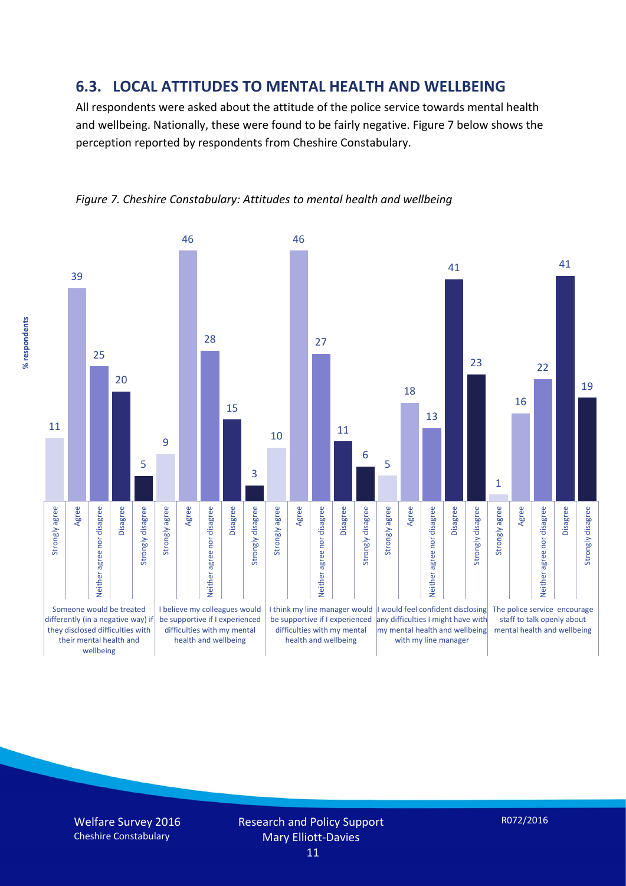#### **6.3. LOCAL ATTITUDES TO MENTAL HEALTH AND WELLBEING**

All respondents were asked about the attitude of the police service towards mental health and wellbeing. Nationally, these were found to be fairly negative. Figure 7 below shows the perception reported by respondents from Cheshire Constabulary.





Welfare Survey 2016 Cheshire Constabulary

R072/2016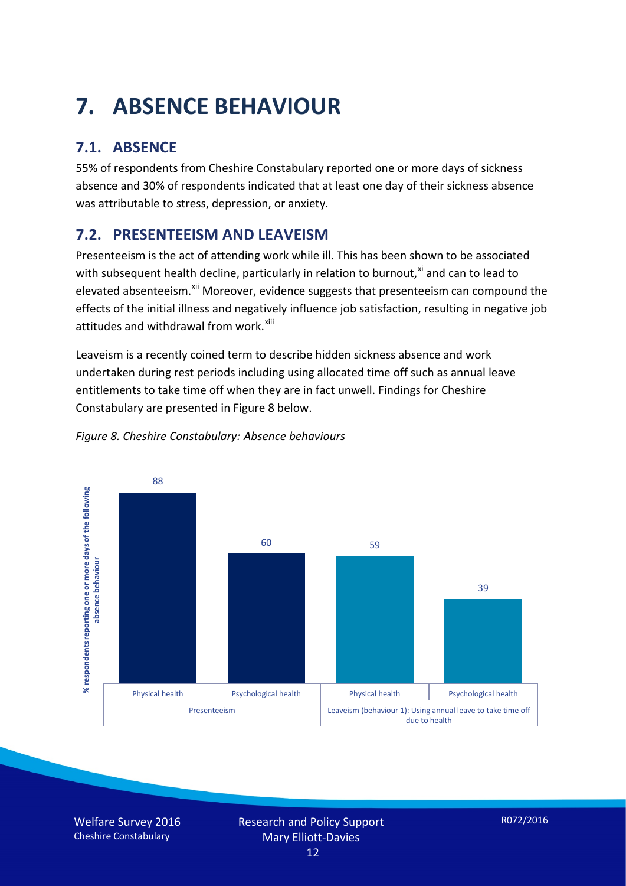# **7. ABSENCE BEHAVIOUR**

## **7.1. ABSENCE**

55% of respondents from Cheshire Constabulary reported one or more days of sickness absence and 30% of respondents indicated that at least one day of their sickness absence was attributable to stress, depression, or anxiety.

## **7.2. PRESENTEEISM AND LEAVEISM**

Presenteeism is the act of attending work while ill. This has been shown to be associated with subsequent health decline, particularly in relation to burnout, $x_i$  and can to lead to elevated absenteeism.<sup>[xii](#page-16-1)</sup> Moreover, evidence suggests that presenteeism can compound the effects of the initial illness and negatively influence job satisfaction, resulting in negative job attitudes and withdrawal from work.<sup>[xiii](#page-16-2)</sup>

Leaveism is a recently coined term to describe hidden sickness absence and work undertaken during rest periods including using allocated time off such as annual leave entitlements to take time off when they are in fact unwell. Findings for Cheshire Constabulary are presented in Figure 8 below.



#### *Figure 8. Cheshire Constabulary: Absence behaviours*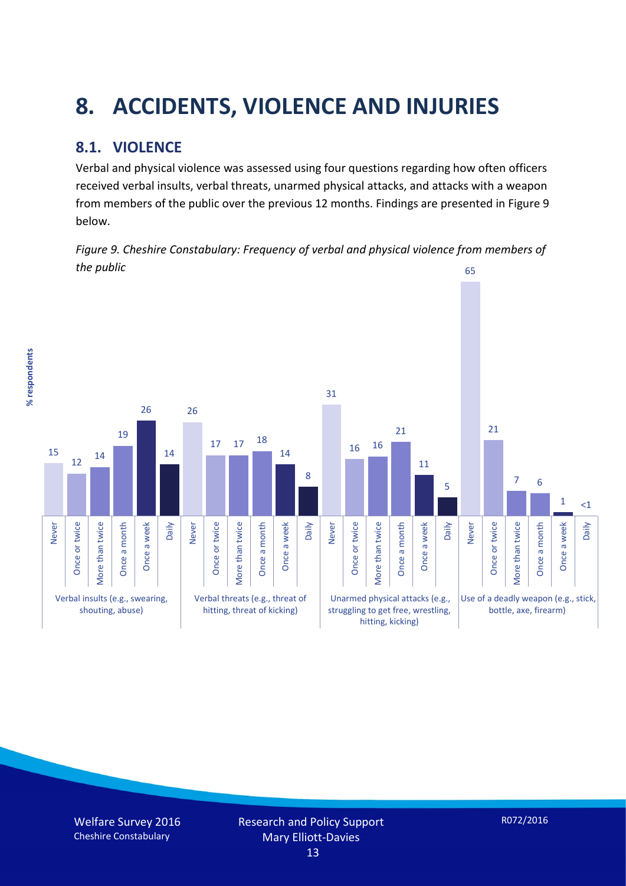# **8. ACCIDENTS, VIOLENCE AND INJURIES**

## **8.1. VIOLENCE**

% respondents **% respondents**

Verbal and physical violence was assessed using four questions regarding how often officers received verbal insults, verbal threats, unarmed physical attacks, and attacks with a weapon from members of the public over the previous 12 months. Findings are presented in Figure 9 below.

*Figure 9. Cheshire Constabulary: Frequency of verbal and physical violence from members of the public* 65

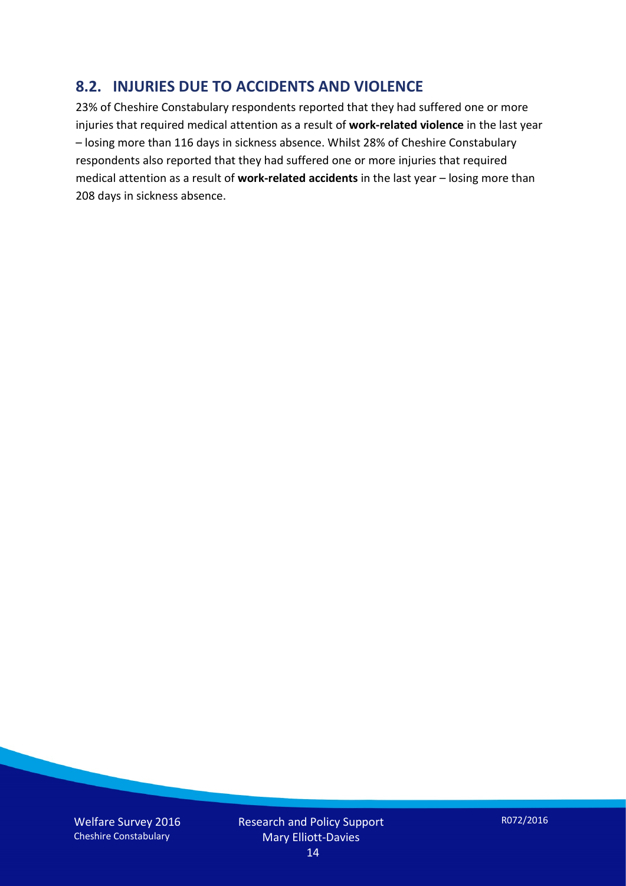#### **8.2. INJURIES DUE TO ACCIDENTS AND VIOLENCE**

23% of Cheshire Constabulary respondents reported that they had suffered one or more injuries that required medical attention as a result of **work-related violence** in the last year – losing more than 116 days in sickness absence. Whilst 28% of Cheshire Constabulary respondents also reported that they had suffered one or more injuries that required medical attention as a result of **work-related accidents** in the last year – losing more than 208 days in sickness absence.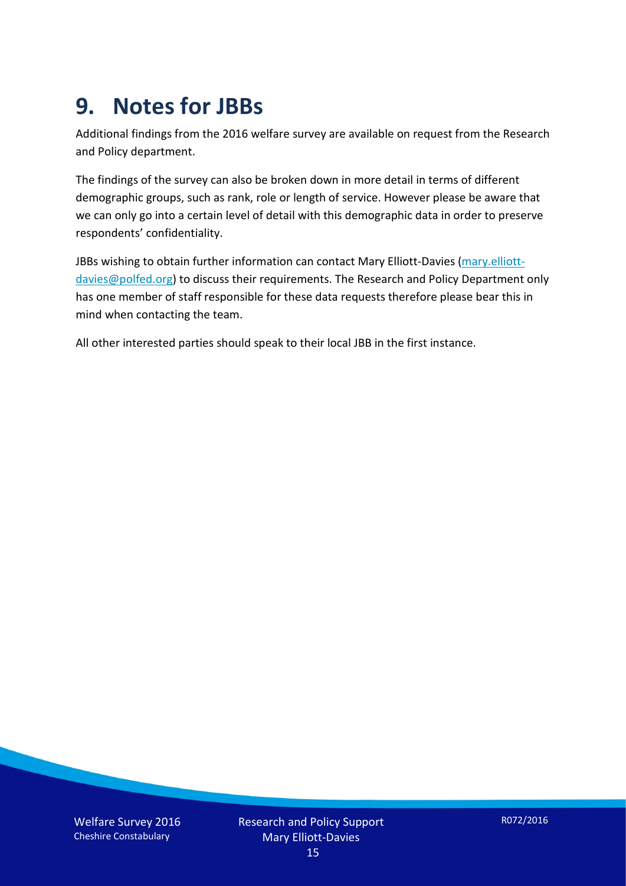## **9. Notes for JBBs**

Additional findings from the 2016 welfare survey are available on request from the Research and Policy department.

The findings of the survey can also be broken down in more detail in terms of different demographic groups, such as rank, role or length of service. However please be aware that we can only go into a certain level of detail with this demographic data in order to preserve respondents' confidentiality.

JBBs wishing to obtain further information can contact Mary Elliott-Davies [\(mary.elliott](mailto:mary.elliott-davies@polfed.org)[davies@polfed.org\)](mailto:mary.elliott-davies@polfed.org) to discuss their requirements. The Research and Policy Department only has one member of staff responsible for these data requests therefore please bear this in mind when contacting the team.

All other interested parties should speak to their local JBB in the first instance.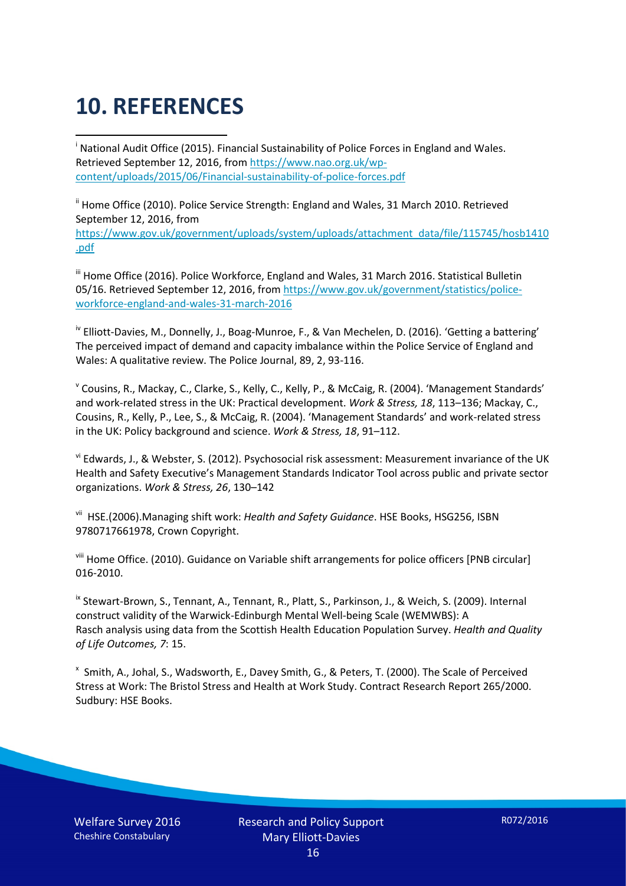# **10. REFERENCES**

<span id="page-15-0"></span>i National Audit Office (2015). Financial Sustainability of Police Forces in England and Wales. Retrieved September 12, 2016, fro[m https://www.nao.org.uk/wp](https://www.nao.org.uk/wp-content/uploads/2015/06/Financial-sustainability-of-police-forces.pdf)[content/uploads/2015/06/Financial-sustainability-of-police-forces.pdf](https://www.nao.org.uk/wp-content/uploads/2015/06/Financial-sustainability-of-police-forces.pdf)

<span id="page-15-1"></span><sup>ii</sup> Home Office (2010). Police Service Strength: England and Wales, 31 March 2010. Retrieved September 12, 2016, from [https://www.gov.uk/government/uploads/system/uploads/attachment\\_data/file/115745/hosb1410](https://www.gov.uk/government/uploads/system/uploads/attachment_data/file/115745/hosb1410.pdf) [.pdf](https://www.gov.uk/government/uploads/system/uploads/attachment_data/file/115745/hosb1410.pdf)

<span id="page-15-2"></span><sup>iii</sup> Home Office (2016). Police Workforce, England and Wales, 31 March 2016. Statistical Bulletin 05/16. Retrieved September 12, 2016, fro[m https://www.gov.uk/government/statistics/police](https://www.gov.uk/government/statistics/police-workforce-england-and-wales-31-march-2016)[workforce-england-and-wales-31-march-2016](https://www.gov.uk/government/statistics/police-workforce-england-and-wales-31-march-2016)

<span id="page-15-3"></span><sup>iv</sup> Elliott-Davies, M., Donnelly, J., Boag-Munroe, F., & Van Mechelen, D. (2016). 'Getting a battering' The perceived impact of demand and capacity imbalance within the Police Service of England and Wales: A qualitative review. The Police Journal, 89, 2, 93-116.

<span id="page-15-4"></span><sup>v</sup> Cousins, R., Mackay, C., Clarke, S., Kelly, C., Kelly, P., & McCaig, R. (2004). 'Management Standards' and work-related stress in the UK: Practical development. *Work & Stress, 18*, 113–136; Mackay, C., Cousins, R., Kelly, P., Lee, S., & McCaig, R. (2004). 'Management Standards' and work-related stress in the UK: Policy background and science. *Work & Stress, 18*, 91–112.

<span id="page-15-5"></span>vi Edwards, J., & Webster, S. (2012). Psychosocial risk assessment: Measurement invariance of the UK Health and Safety Executive's Management Standards Indicator Tool across public and private sector organizations. *Work & Stress, 26*, 130–142

<span id="page-15-6"></span>vii HSE.(2006).Managing shift work: *Health and Safety Guidance*. HSE Books, HSG256, ISBN 9780717661978, Crown Copyright.

<span id="page-15-7"></span>viii Home Office. (2010). Guidance on Variable shift arrangements for police officers [PNB circular] 016-2010.

<span id="page-15-8"></span><sup>ix</sup> Stewart-Brown, S., Tennant, A., Tennant, R., Platt, S., Parkinson, J., & Weich, S. (2009). Internal construct validity of the Warwick-Edinburgh Mental Well-being Scale (WEMWBS): A Rasch analysis using data from the Scottish Health Education Population Survey. *Health and Quality of Life Outcomes, 7*: 15.

<span id="page-15-9"></span>x Smith, A., Johal, S., Wadsworth, E., Davey Smith, G., & Peters, T. (2000). The Scale of Perceived Stress at Work: The Bristol Stress and Health at Work Study. Contract Research Report 265/2000. Sudbury: HSE Books.